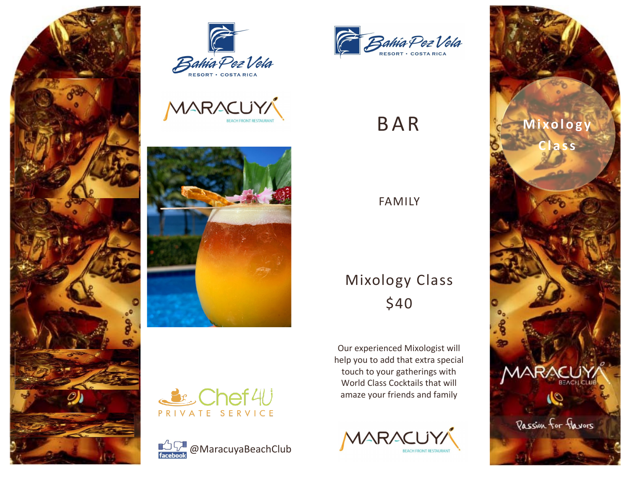







& Chef4U PRIVATE SERVICE





# B A R

## FAMILY

# Mixology Class \$40

Our experienced Mixologist will help you to add that extra special touch to your gatherings with World Class Cocktails that will amaze your friends and family



![](_page_0_Picture_12.jpeg)